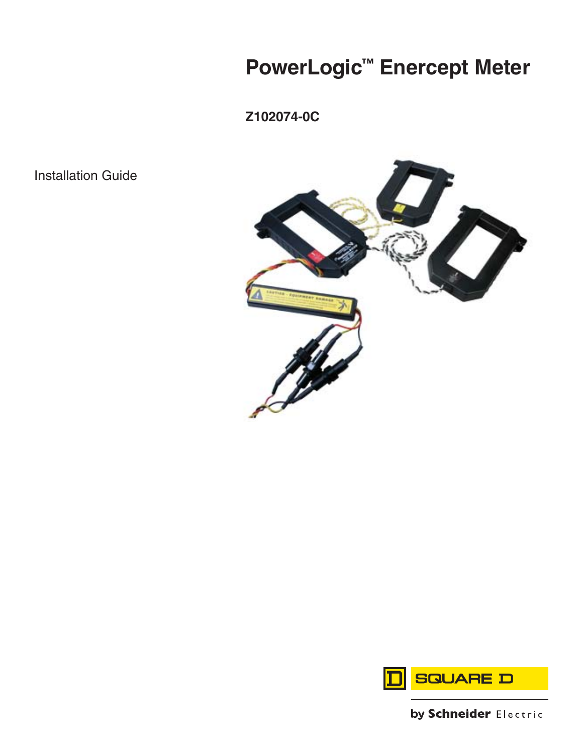# **PowerLogic™ Enercept Meter**

**Z102074-0C**

Installation Guide





by Schneider Electric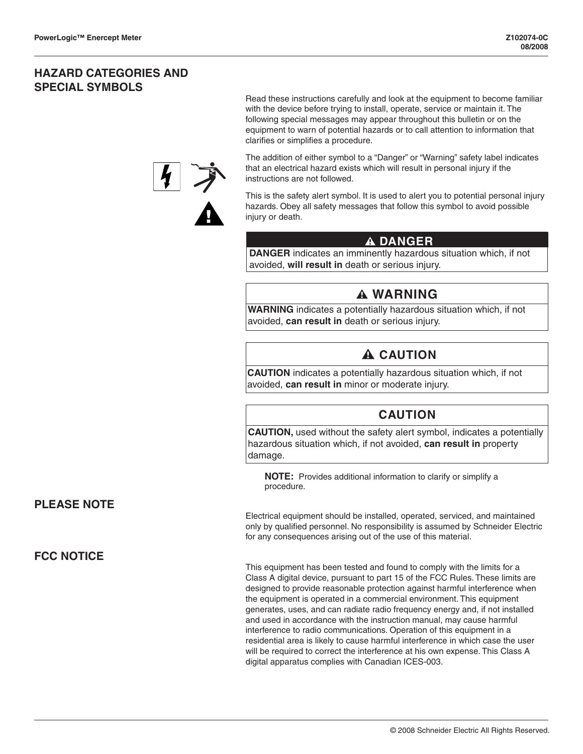## **HAZARD CATEGORIES AND SPECIAL SYMBOLS**

Read these instructions carefully and look at the equipment to become familiar with the device before trying to install, operate, service or maintain it. The following special messages may appear throughout this bulletin or on the equipment to warn of potential hazards or to call attention to information that clarifies or simplifies a procedure.



The addition of either symbol to a "Danger" or "Warning" safety label indicates that an electrical hazard exists which will result in personal injury if the instructions are not followed.

This is the safety alert symbol. It is used to alert you to potential personal injury hazards. Obey all safety messages that follow this symbol to avoid possible injury or death.

## **DANGER**

 **DANGER** indicates an imminently hazardous situation which, if not avoided, **will result in** death or serious injury.

## **WARNING**

**WARNING** indicates a potentially hazardous situation which, if not avoided, **can result in** death or serious injury.

## **A CAUTION**

**CAUTION** indicates a potentially hazardous situation which, if not avoided, **can result in** minor or moderate injury.

## **CAUTION**

**CAUTION,** used without the safety alert symbol, indicates a potentially hazardous situation which, if not avoided, **can result in** property damage.

**NOTE:** Provides additional information to clarify or simplify a procedure.

Electrical equipment should be installed, operated, serviced, and maintained only by qualified personnel. No responsibility is assumed by Schneider Electric for any consequences arising out of the use of this material.

This equipment has been tested and found to comply with the limits for a Class A digital device, pursuant to part 15 of the FCC Rules. These limits are designed to provide reasonable protection against harmful interference when the equipment is operated in a commercial environment. This equipment generates, uses, and can radiate radio frequency energy and, if not installed and used in accordance with the instruction manual, may cause harmful interference to radio communications. Operation of this equipment in a residential area is likely to cause harmful interference in which case the user will be required to correct the interference at his own expense. This Class A digital apparatus complies with Canadian ICES-003.

## **PLEASE NOTE**

## **FCC NOTICE**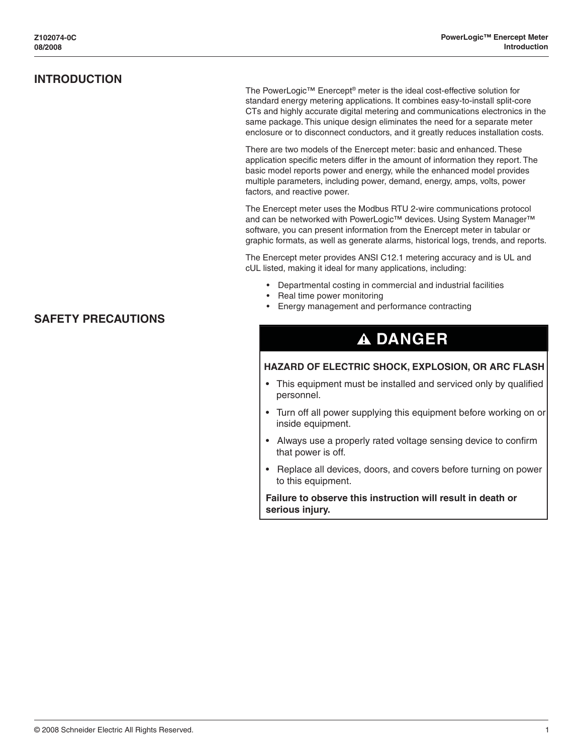<span id="page-4-0"></span>The PowerLogic™ Enercept® meter is the ideal cost-effective solution for standard energy metering applications. It combines easy-to-install split-core CTs and highly accurate digital metering and communications electronics in the same package. This unique design eliminates the need for a separate meter enclosure or to disconnect conductors, and it greatly reduces installation costs.

There are two models of the Enercept meter: basic and enhanced. These application specific meters differ in the amount of information they report. The basic model reports power and energy, while the enhanced model provides multiple parameters, including power, demand, energy, amps, volts, power factors, and reactive power.

The Enercept meter uses the Modbus RTU 2-wire communications protocol and can be networked with PowerLogic™ devices. Using System Manager™ software, you can present information from the Enercept meter in tabular or graphic formats, as well as generate alarms, historical logs, trends, and reports.

The Enercept meter provides ANSI C12.1 metering accuracy and is UL and cUL listed, making it ideal for many applications, including:

- Departmental costing in commercial and industrial facilities
- Real time power monitoring
- Energy management and performance contracting

## **A DANGER**

### **HAZARD OF ELECTRIC SHOCK, EXPLOSION, OR ARC FLASH**

- This equipment must be installed and serviced only by qualified personnel.
- Turn off all power supplying this equipment before working on or inside equipment.
- Always use a properly rated voltage sensing device to confirm that power is off.
- Replace all devices, doors, and covers before turning on power to this equipment.

 **Failure to observe this instruction will result in death or serious injury.**

### **SAFETY PRECAUTIONS**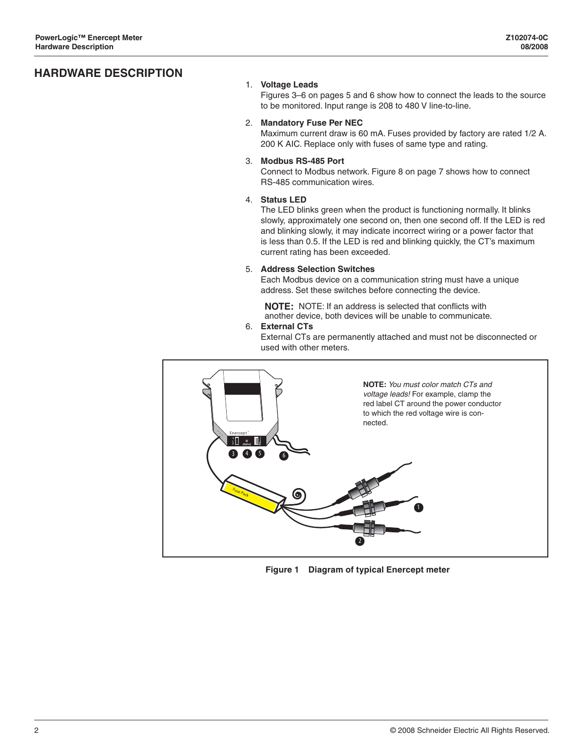## <span id="page-5-0"></span>**HARDWARE DESCRIPTION**

### 1. **Voltage Leads**

Figures 3–6 on pages 5 and 6 show how to connect the leads to the source to be monitored. Input range is 208 to 480 V line-to-line.

### 2. **Mandatory Fuse Per NEC**

Maximum current draw is 60 mA. Fuses provided by factory are rated 1/2 A. 200 K AIC. Replace only with fuses of same type and rating.

### 3. **Modbus RS-485 Port**

Connect to Modbus network. Figure 8 on page 7 shows how to connect RS-485 communication wires.

### 4. **Status LED**

The LED blinks green when the product is functioning normally. It blinks slowly, approximately one second on, then one second off. If the LED is red and blinking slowly, it may indicate incorrect wiring or a power factor that is less than 0.5. If the LED is red and blinking quickly, the CT's maximum current rating has been exceeded.

### 5. **Address Selection Switches**

Each Modbus device on a communication string must have a unique address. Set these switches before connecting the device.

**NOTE:** NOTE: If an address is selected that conflicts with another device, both devices will be unable to communicate.

### 6. **External CTs**

External CTs are permanently attached and must not be disconnected or used with other meters.



**Figure 1 Diagram of typical Enercept meter**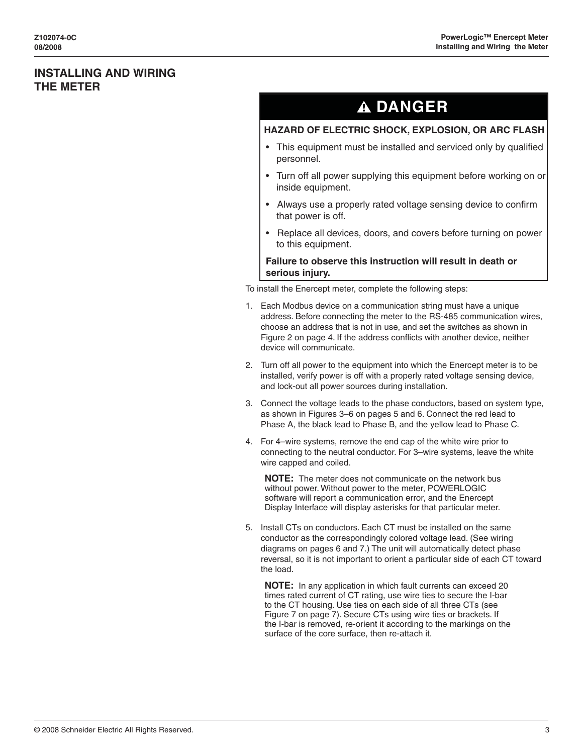## <span id="page-6-0"></span>**INSTALLING AND WIRING THE METER**

## **A DANGER**

### **HAZARD OF ELECTRIC SHOCK, EXPLOSION, OR ARC FLASH**

- This equipment must be installed and serviced only by qualified personnel.
- Turn off all power supplying this equipment before working on or inside equipment.
- Always use a properly rated voltage sensing device to confirm that power is off.
- Replace all devices, doors, and covers before turning on power to this equipment.

### **Failure to observe this instruction will result in death or serious injury.**

To install the Enercept meter, complete the following steps:

- 1. Each Modbus device on a communication string must have a unique address. Before connecting the meter to the RS-485 communication wires, choose an address that is not in use, and set the switches as shown in Figure 2 on page 4. If the address conflicts with another device, neither device will communicate.
- 2. Turn off all power to the equipment into which the Enercept meter is to be installed, verify power is off with a properly rated voltage sensing device, and lock-out all power sources during installation.
- 3. Connect the voltage leads to the phase conductors, based on system type, as shown in Figures 3–6 on pages 5 and 6. Connect the red lead to Phase A, the black lead to Phase B, and the yellow lead to Phase C.
- 4. For 4–wire systems, remove the end cap of the white wire prior to connecting to the neutral conductor. For 3–wire systems, leave the white wire capped and coiled.

**NOTE:** The meter does not communicate on the network bus without power. Without power to the meter, POWERLOGIC software will report a communication error, and the Enercept Display Interface will display asterisks for that particular meter.

5. Install CTs on conductors. Each CT must be installed on the same conductor as the correspondingly colored voltage lead. (See wiring diagrams on pages 6 and 7.) The unit will automatically detect phase reversal, so it is not important to orient a particular side of each CT toward the load.

**NOTE:** In any application in which fault currents can exceed 20 times rated current of CT rating, use wire ties to secure the I-bar to the CT housing. Use ties on each side of all three CTs (see Figure 7 on page 7). Secure CTs using wire ties or brackets. If the I-bar is removed, re-orient it according to the markings on the surface of the core surface, then re-attach it.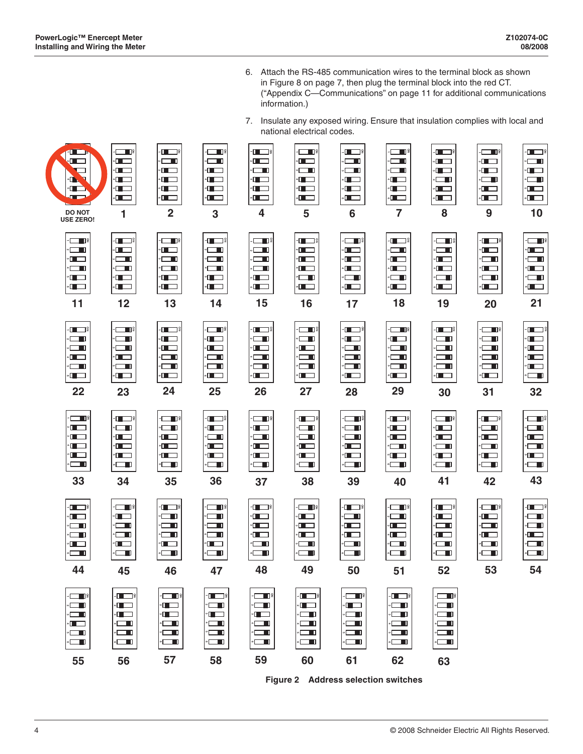- 6. Attach the RS-485 communication wires to the terminal block as shown in Figure 8 on page 7, then plug the terminal block into the red CT. ("Appendix C—Communications" on page 11 for additional communications information.)
- 7. Insulate any exposed wiring. Ensure that insulation complies with local and national electrical codes.

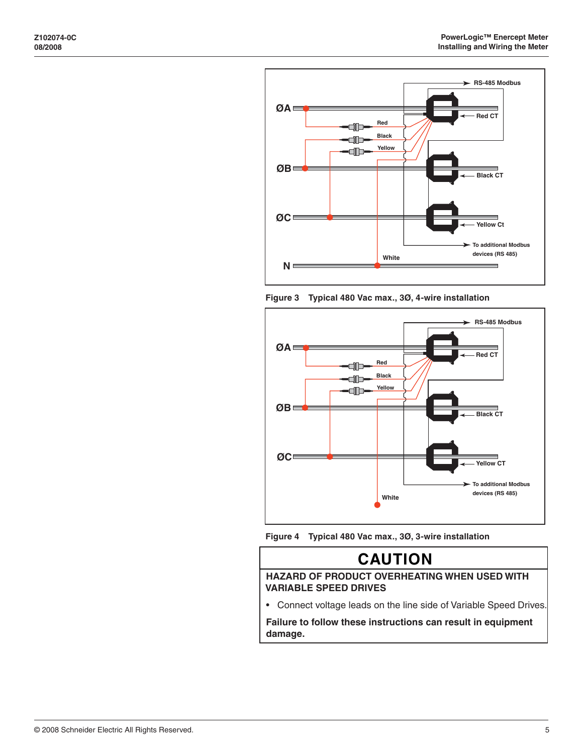







## **CAUTION**

 **HAZARD OF PRODUCT OVERHEATING WHEN USED WITH VARIABLE SPEED DRIVES** 

• Connect voltage leads on the line side of Variable Speed Drives.

 **Failure to follow these instructions can result in equipment damage.**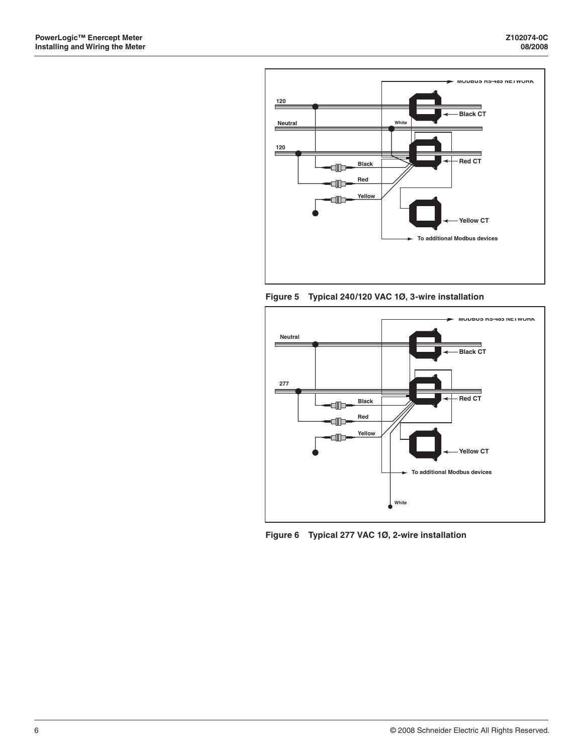

**Figure 5 Typical 240/120 VAC 1Ø, 3-wire installation**



**Figure 6 Typical 277 VAC 1Ø, 2-wire installation**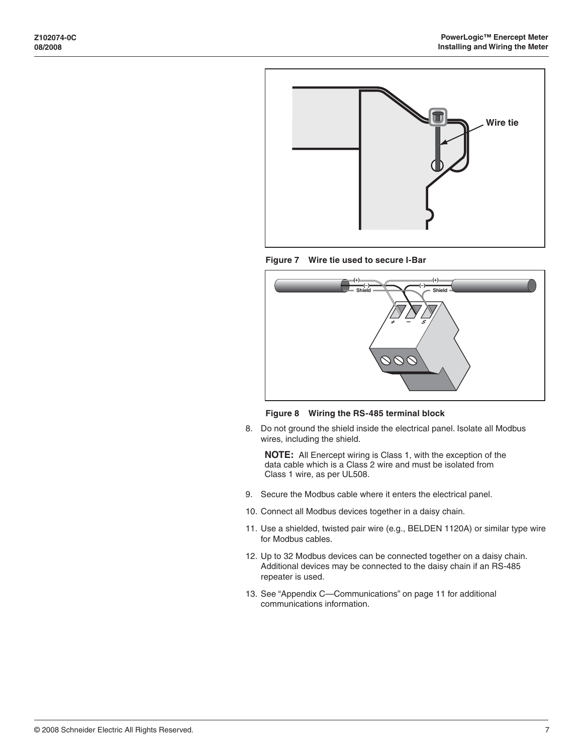





**Figure 8 Wiring the RS-485 terminal block**

8. Do not ground the shield inside the electrical panel. Isolate all Modbus wires, including the shield.

**NOTE:** All Enercept wiring is Class 1, with the exception of the data cable which is a Class 2 wire and must be isolated from Class 1 wire, as per UL508.

- 9. Secure the Modbus cable where it enters the electrical panel.
- 10. Connect all Modbus devices together in a daisy chain.
- 11. Use a shielded, twisted pair wire (e.g., BELDEN 1120A) or similar type wire for Modbus cables.
- 12. Up to 32 Modbus devices can be connected together on a daisy chain. Additional devices may be connected to the daisy chain if an RS-485 repeater is used.
- 13. See "Appendix C—Communications" on page 11 for additional communications information.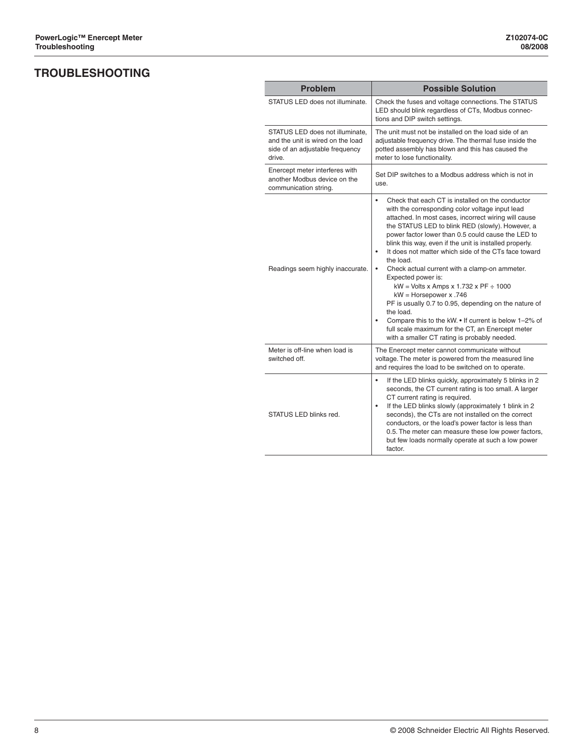## <span id="page-11-0"></span>**TROUBLESHOOTING**

| <b>Problem</b>                                                                                                    | <b>Possible Solution</b>                                                                                                                                                                                                                                                                                                                                                                                                                                                                                                                                                                                                                                                                                                                                                                                                   |
|-------------------------------------------------------------------------------------------------------------------|----------------------------------------------------------------------------------------------------------------------------------------------------------------------------------------------------------------------------------------------------------------------------------------------------------------------------------------------------------------------------------------------------------------------------------------------------------------------------------------------------------------------------------------------------------------------------------------------------------------------------------------------------------------------------------------------------------------------------------------------------------------------------------------------------------------------------|
| STATUS LED does not illuminate.                                                                                   | Check the fuses and voltage connections. The STATUS<br>LED should blink regardless of CTs, Modbus connec-<br>tions and DIP switch settings.                                                                                                                                                                                                                                                                                                                                                                                                                                                                                                                                                                                                                                                                                |
| STATUS LED does not illuminate.<br>and the unit is wired on the load<br>side of an adjustable frequency<br>drive. | The unit must not be installed on the load side of an<br>adjustable frequency drive. The thermal fuse inside the<br>potted assembly has blown and this has caused the<br>meter to lose functionality.                                                                                                                                                                                                                                                                                                                                                                                                                                                                                                                                                                                                                      |
| Enercept meter interferes with<br>another Modbus device on the<br>communication string.                           | Set DIP switches to a Modbus address which is not in<br>use.                                                                                                                                                                                                                                                                                                                                                                                                                                                                                                                                                                                                                                                                                                                                                               |
| Readings seem highly inaccurate.                                                                                  | Check that each CT is installed on the conductor<br>$\bullet$<br>with the corresponding color voltage input lead<br>attached. In most cases, incorrect wiring will cause<br>the STATUS LED to blink RED (slowly). However, a<br>power factor lower than 0.5 could cause the LED to<br>blink this way, even if the unit is installed properly.<br>It does not matter which side of the CTs face toward<br>$\bullet$<br>the load.<br>Check actual current with a clamp-on ammeter.<br>Expected power is:<br>$kW = Volts x$ Amps x 1.732 x PF $\div$ 1000<br>$kW =$ Horsepower x .746<br>PF is usually 0.7 to 0.95, depending on the nature of<br>the load.<br>Compare this to the kW. • If current is below 1-2% of<br>٠<br>full scale maximum for the CT, an Enercept meter<br>with a smaller CT rating is probably needed. |
| Meter is off-line when load is<br>switched off.                                                                   | The Enercept meter cannot communicate without<br>voltage. The meter is powered from the measured line<br>and requires the load to be switched on to operate.                                                                                                                                                                                                                                                                                                                                                                                                                                                                                                                                                                                                                                                               |
| STATUS LED blinks red.                                                                                            | $\bullet$<br>If the LED blinks quickly, approximately 5 blinks in 2<br>seconds, the CT current rating is too small. A larger<br>CT current rating is required.<br>If the LED blinks slowly (approximately 1 blink in 2<br>۰<br>seconds), the CTs are not installed on the correct<br>conductors, or the load's power factor is less than<br>0.5. The meter can measure these low power factors,<br>but few loads normally operate at such a low power<br>factor.                                                                                                                                                                                                                                                                                                                                                           |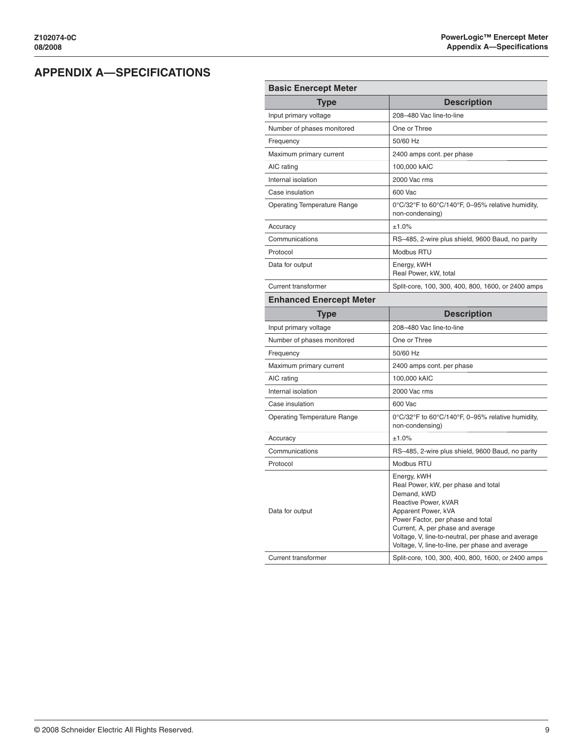## <span id="page-12-0"></span>**APPENDIX A—SPECIFICATIONS**

| <b>Basic Enercept Meter</b>        |                                                                                                                                                                                                                                                                                                     |  |  |
|------------------------------------|-----------------------------------------------------------------------------------------------------------------------------------------------------------------------------------------------------------------------------------------------------------------------------------------------------|--|--|
| <b>Type</b>                        | <b>Description</b>                                                                                                                                                                                                                                                                                  |  |  |
| Input primary voltage              | 208-480 Vac line-to-line                                                                                                                                                                                                                                                                            |  |  |
| Number of phases monitored         | One or Three                                                                                                                                                                                                                                                                                        |  |  |
| Frequency                          | 50/60 Hz                                                                                                                                                                                                                                                                                            |  |  |
| Maximum primary current            | 2400 amps cont. per phase                                                                                                                                                                                                                                                                           |  |  |
| AIC rating                         | 100,000 kAIC                                                                                                                                                                                                                                                                                        |  |  |
| Internal isolation                 | 2000 Vac rms                                                                                                                                                                                                                                                                                        |  |  |
| Case insulation                    | 600 Vac                                                                                                                                                                                                                                                                                             |  |  |
| <b>Operating Temperature Range</b> | 0°C/32°F to 60°C/140°F, 0-95% relative humidity,<br>non-condensing)                                                                                                                                                                                                                                 |  |  |
| Accuracy                           | ±1.0%                                                                                                                                                                                                                                                                                               |  |  |
| Communications                     | RS-485, 2-wire plus shield, 9600 Baud, no parity                                                                                                                                                                                                                                                    |  |  |
| Protocol                           | Modbus RTU                                                                                                                                                                                                                                                                                          |  |  |
| Data for output                    | Energy, kWH<br>Real Power, kW, total                                                                                                                                                                                                                                                                |  |  |
| <b>Current transformer</b>         | Split-core, 100, 300, 400, 800, 1600, or 2400 amps                                                                                                                                                                                                                                                  |  |  |
| <b>Enhanced Enercept Meter</b>     |                                                                                                                                                                                                                                                                                                     |  |  |
| <b>Type</b>                        | <b>Description</b>                                                                                                                                                                                                                                                                                  |  |  |
| Input primary voltage              | 208-480 Vac line-to-line                                                                                                                                                                                                                                                                            |  |  |
| Number of phases monitored         | One or Three                                                                                                                                                                                                                                                                                        |  |  |
| Frequency                          | 50/60 Hz                                                                                                                                                                                                                                                                                            |  |  |
| Maximum primary current            | 2400 amps cont. per phase                                                                                                                                                                                                                                                                           |  |  |
| AIC rating                         | 100,000 kAIC                                                                                                                                                                                                                                                                                        |  |  |
|                                    |                                                                                                                                                                                                                                                                                                     |  |  |
| Internal isolation                 | 2000 Vac rms                                                                                                                                                                                                                                                                                        |  |  |
| Case insulation                    | 600 Vac                                                                                                                                                                                                                                                                                             |  |  |
| <b>Operating Temperature Range</b> | 0°C/32°F to 60°C/140°F, 0-95% relative humidity,<br>non-condensing)                                                                                                                                                                                                                                 |  |  |
| Accuracy                           | ±1.0%                                                                                                                                                                                                                                                                                               |  |  |
| Communications                     | RS-485, 2-wire plus shield, 9600 Baud, no parity                                                                                                                                                                                                                                                    |  |  |
| Protocol                           | Modbus RTU                                                                                                                                                                                                                                                                                          |  |  |
| Data for output                    | Energy, kWH<br>Real Power, kW, per phase and total<br>Demand, kWD<br>Reactive Power, kVAR<br>Apparent Power, kVA<br>Power Factor, per phase and total<br>Current, A, per phase and average<br>Voltage, V, line-to-neutral, per phase and average<br>Voltage, V, line-to-line, per phase and average |  |  |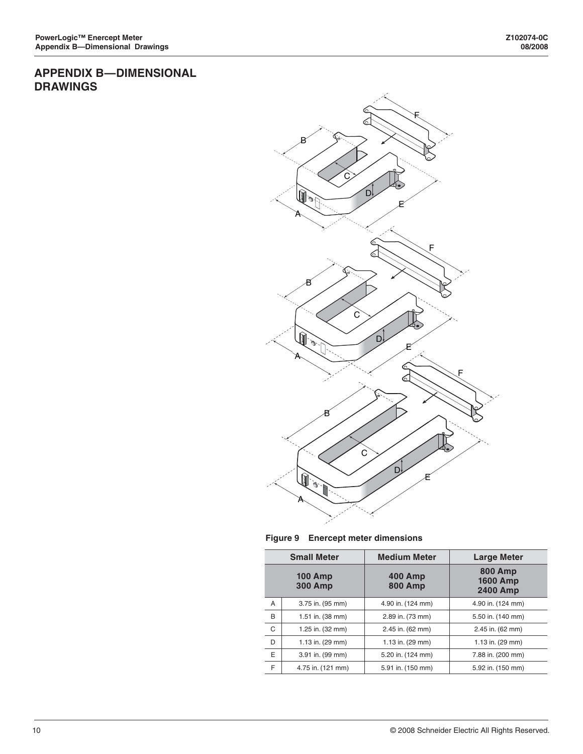## <span id="page-13-0"></span>**APPENDIX B—DIMENSIONAL DRAWINGS**



**Figure 9 Enercept meter dimensions**

| <b>Small Meter</b>               |                   | <b>Medium Meter</b>              |                                                      |
|----------------------------------|-------------------|----------------------------------|------------------------------------------------------|
| <b>100 Amp</b><br><b>300 Amp</b> |                   | <b>400 Amp</b><br><b>800 Amp</b> | <b>800 Amp</b><br><b>1600 Amp</b><br><b>2400 Amp</b> |
| A                                | 3.75 in. (95 mm)  | 4.90 in. (124 mm)                | 4.90 in. (124 mm)                                    |
| B                                | 1.51 in. (38 mm)  | 2.89 in. (73 mm)                 | 5.50 in. (140 mm)                                    |
| C                                | 1.25 in. (32 mm)  | 2.45 in. (62 mm)                 | 2.45 in. (62 mm)                                     |
| D                                | 1.13 in. (29 mm)  | 1.13 in. (29 mm)                 | 1.13 in. (29 mm)                                     |
| E                                | 3.91 in. (99 mm)  | 5.20 in. (124 mm)                | 7.88 in. (200 mm)                                    |
| F                                | 4.75 in. (121 mm) | 5.91 in. (150 mm)                | 5.92 in. (150 mm)                                    |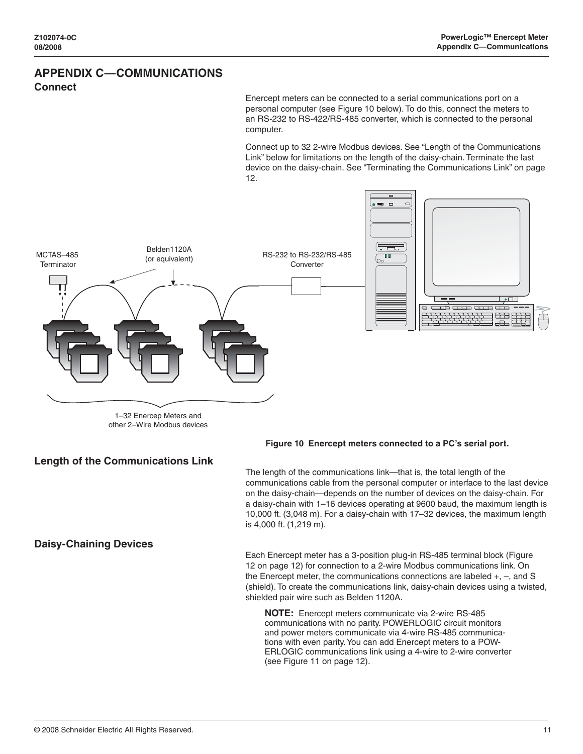## <span id="page-14-0"></span>**APPENDIX C—COMMUNICATIONS Connect**

Enercept meters can be connected to a serial communications port on a personal computer (see Figure 10 below). To do this, connect the meters to an RS-232 to RS-422/RS-485 converter, which is connected to the personal computer.

Connect up to 32 2-wire Modbus devices. See "Length of the Communications Link" below for limitations on the length of the daisy-chain. Terminate the last device on the daisy-chain. See "Terminating the Communications Link" on page 12.



**Length of the Communications Link**

### **Daisy-Chaining Devices**

**Figure 10 Enercept meters connected to a PC's serial port.**

The length of the communications link—that is, the total length of the communications cable from the personal computer or interface to the last device on the daisy-chain—depends on the number of devices on the daisy-chain. For a daisy-chain with 1–16 devices operating at 9600 baud, the maximum length is 10,000 ft. (3,048 m). For a daisy-chain with 17–32 devices, the maximum length is 4,000 ft. (1,219 m).

Each Enercept meter has a 3-position plug-in RS-485 terminal block (Figure 12 on page 12) for connection to a 2-wire Modbus communications link. On the Enercept meter, the communications connections are labeled +, –, and S (shield). To create the communications link, daisy-chain devices using a twisted, shielded pair wire such as Belden 1120A.

**NOTE:** Enercept meters communicate via 2-wire RS-485 communications with no parity. POWERLOGIC circuit monitors and power meters communicate via 4-wire RS-485 communications with even parity. You can add Enercept meters to a POW-ERLOGIC communications link using a 4-wire to 2-wire converter (see Figure 11 on page 12).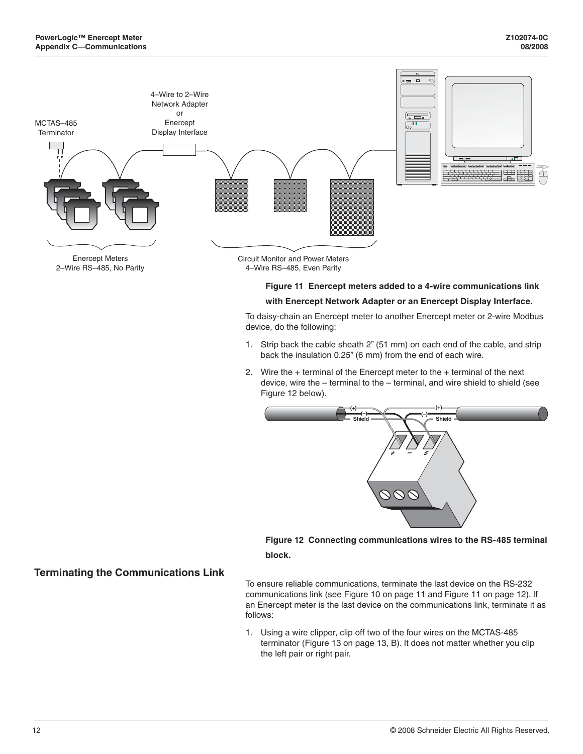<span id="page-15-0"></span>

### **Figure 11 Enercept meters added to a 4-wire communications link with Enercept Network Adapter or an Enercept Display Interface.**

To daisy-chain an Enercept meter to another Enercept meter or 2-wire Modbus device, do the following:

- 1. Strip back the cable sheath 2" (51 mm) on each end of the cable, and strip back the insulation 0.25" (6 mm) from the end of each wire.
- 2. Wire the  $+$  terminal of the Enercept meter to the  $+$  terminal of the next device, wire the – terminal to the – terminal, and wire shield to shield (see Figure 12 below).



**Figure 12 Connecting communications wires to the RS-485 terminal block.**

To ensure reliable communications, terminate the last device on the RS-232 communications link (see Figure 10 on page 11 and Figure 11 on page 12). If an Enercept meter is the last device on the communications link, terminate it as follows:

1. Using a wire clipper, clip off two of the four wires on the MCTAS-485 terminator (Figure 13 on page 13, B). It does not matter whether you clip the left pair or right pair.

### **Terminating the Communications Link**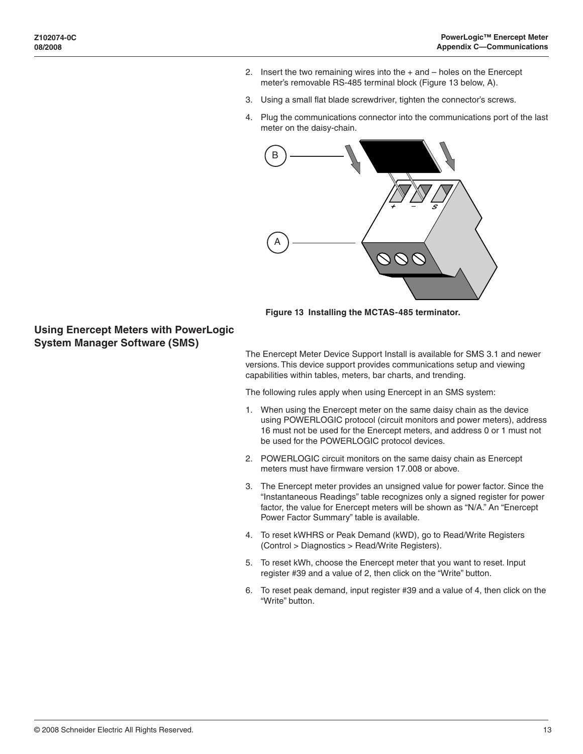- <span id="page-16-0"></span>2. Insert the two remaining wires into the  $+$  and  $-$  holes on the Enercept meter's removable RS-485 terminal block (Figure 13 below, A).
- 3. Using a small flat blade screwdriver, tighten the connector's screws.
- 4. Plug the communications connector into the communications port of the last meter on the daisy-chain.



**Figure 13 Installing the MCTAS-485 terminator.**

**Using Enercept Meters with PowerLogic System Manager Software (SMS)**

> The Enercept Meter Device Support Install is available for SMS 3.1 and newer versions. This device support provides communications setup and viewing capabilities within tables, meters, bar charts, and trending.

The following rules apply when using Enercept in an SMS system:

- 1. When using the Enercept meter on the same daisy chain as the device using POWERLOGIC protocol (circuit monitors and power meters), address 16 must not be used for the Enercept meters, and address 0 or 1 must not be used for the POWERLOGIC protocol devices.
- 2. POWERLOGIC circuit monitors on the same daisy chain as Enercept meters must have firmware version 17.008 or above.
- 3. The Enercept meter provides an unsigned value for power factor. Since the "Instantaneous Readings" table recognizes only a signed register for power factor, the value for Enercept meters will be shown as "N/A." An "Enercept Power Factor Summary" table is available.
- 4. To reset kWHRS or Peak Demand (kWD), go to Read/Write Registers (Control > Diagnostics > Read/Write Registers).
- 5. To reset kWh, choose the Enercept meter that you want to reset. Input register #39 and a value of 2, then click on the "Write" button.
- 6. To reset peak demand, input register #39 and a value of 4, then click on the "Write" button.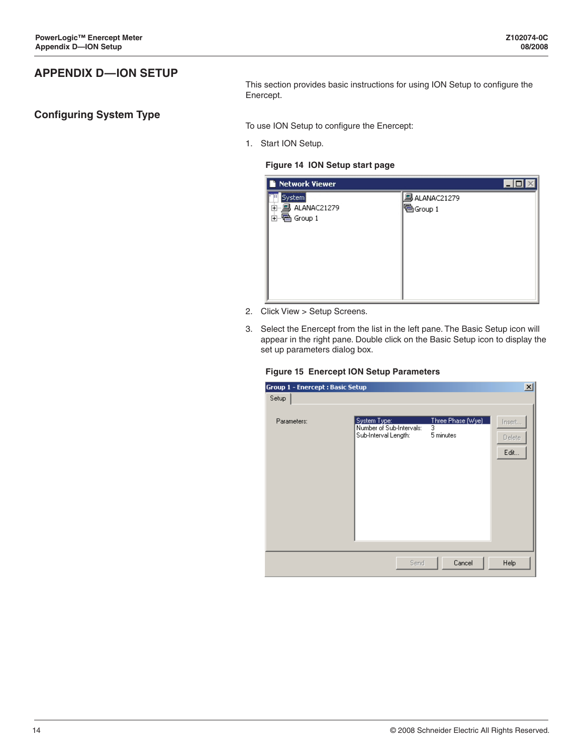## <span id="page-17-0"></span>**APPENDIX D—ION SETUP**

### **Configuring System Type**

This section provides basic instructions for using ION Setup to configure the Enercept.

To use ION Setup to configure the Enercept:

1. Start ION Setup.

### **Figure 14 ION Setup start page**

| <b>Network Viewer</b>                                    |                             |
|----------------------------------------------------------|-----------------------------|
| <del>.</del><br>System)<br>ы<br>⊡- <b>鳳 ALANA</b> C21279 | 鳳ALANAC21279<br>  ∰ Group 1 |
|                                                          |                             |

- 2. Click View > Setup Screens.
- 3. Select the Enercept from the list in the left pane. The Basic Setup icon will appear in the right pane. Double click on the Basic Setup icon to display the set up parameters dialog box.

### **Figure 15 Enercept ION Setup Parameters**

| Group 1 - Enercept : Basic Setup |                                                                  |                                                  | $\vert x \vert$          |
|----------------------------------|------------------------------------------------------------------|--------------------------------------------------|--------------------------|
| Setup                            |                                                                  |                                                  |                          |
| Parameters:                      | System Type:<br>Number of Sub-Intervals:<br>Sub-Interval Length: | Three Phase (Wye)<br>$\overline{3}$<br>5 minutes | Insert<br>Delete<br>Edit |
|                                  |                                                                  |                                                  |                          |
|                                  | Send                                                             | Cancel                                           | Help                     |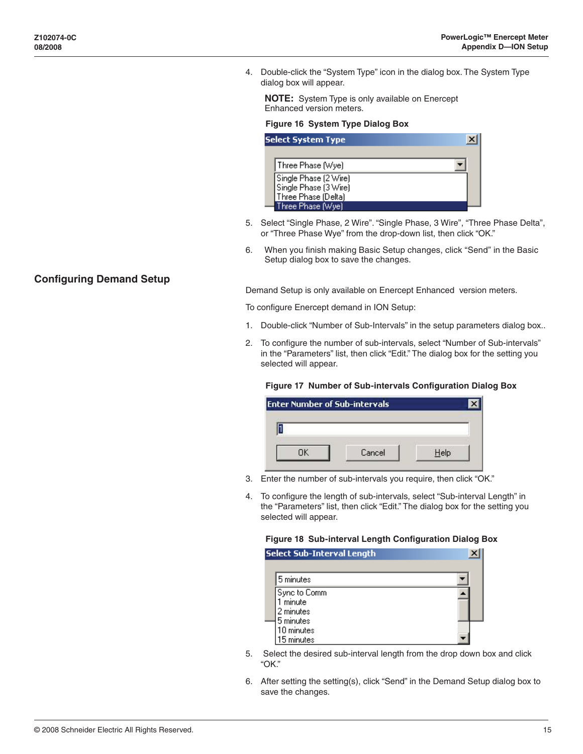<span id="page-18-0"></span>4. Double-click the "System Type" icon in the dialog box. The System Type dialog box will appear.

**NOTE:** System Type is only available on Enercept Enhanced version meters.

### **Figure 16 System Type Dialog Box**

| Select System Type <sub>.</sub> |  |
|---------------------------------|--|
|                                 |  |
| Three Phase [Wye]               |  |
| Single Phase (2 Wire)           |  |
| Single Phase (3 Wire)           |  |
| Three Phase (Delta)             |  |
| Three Phase (Wye)               |  |

- 5. Select "Single Phase, 2 Wire". "Single Phase, 3 Wire", "Three Phase Delta", or "Three Phase Wye" from the drop-down list, then click "OK."
- 6. When you finish making Basic Setup changes, click "Send" in the Basic Setup dialog box to save the changes.

Demand Setup is only available on Enercept Enhanced version meters.

To configure Enercept demand in ION Setup:

- 1. Double-click "Number of Sub-Intervals" in the setup parameters dialog box..
- 2. To configure the number of sub-intervals, select "Number of Sub-intervals" in the "Parameters" list, then click "Edit." The dialog box for the setting you selected will appear.

### **Figure 17 Number of Sub-intervals Configuration Dialog Box**

| <b>Enter Number of Sub-intervals</b> |  |
|--------------------------------------|--|
|                                      |  |
| Cancel                               |  |

- 3. Enter the number of sub-intervals you require, then click "OK."
- 4. To configure the length of sub-intervals, select "Sub-interval Length" in the "Parameters" list, then click "Edit." The dialog box for the setting you selected will appear.

#### **Figure 18 Sub-interval Length Configuration Dialog Box**

| <b>Select Sub-Interval Length</b> |  |
|-----------------------------------|--|
| 5 minutes                         |  |
| Sync to Comm<br>minute            |  |
| 2 minutes<br>5 minutes            |  |
| 10 minutes<br>15 minutes          |  |

- 5. Select the desired sub-interval length from the drop down box and click "OK."
- 6. After setting the setting(s), click "Send" in the Demand Setup dialog box to save the changes.

### **Configuring Demand Setup**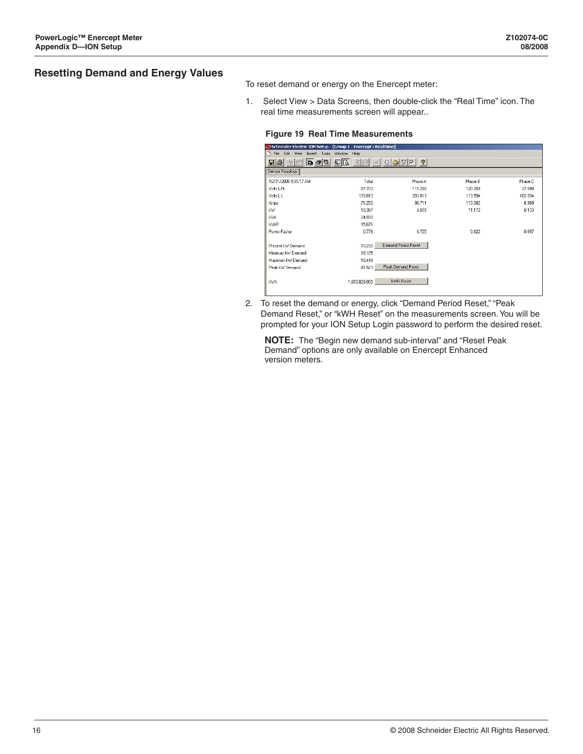### <span id="page-19-0"></span>**Resetting Demand and Energy Values**

To reset demand or energy on the Enercept meter:

1. Select View > Data Screens, then double-click the "Real Time" icon. The real time measurements screen will appear..

#### **Figure 19 Real Time Measurements**

| Schneider Electric ION Setup - [Group 1 - Enercept : RealTime] |                                            |                                   |         |         |
|----------------------------------------------------------------|--------------------------------------------|-----------------------------------|---------|---------|
| File Edit View Insert Tools Window Help                        |                                            |                                   |         |         |
| R<br>$\blacksquare$ $\blacksquare$<br>4軸                       | $\sigma_{\rm eff}^{\rm eq}$<br>$\Box$<br>扉 | <b>Q</b><br>39F<br>$\circledcirc$ |         |         |
| Device Readings                                                |                                            |                                   |         |         |
| 10/31/2008 9:55:17 AM                                          | Total                                      | Phase A                           | Phase B | Phase C |
| Volts L-N                                                      | 87.703                                     | 115.250                           | 120.203 | 27.688  |
| Volts L-L                                                      | 139.813                                    | 203.813                           | 113.594 | 102.094 |
| Amps                                                           | 71.250                                     | 96.711                            | 113.082 | 6.969   |
| kW                                                             | 19.387                                     | 8.078                             | 11.172  | 0.133   |
| <b>kVA</b>                                                     | 24.930                                     |                                   |         |         |
| <b>kVAR</b>                                                    | 15.676                                     |                                   |         |         |
| Power Factor                                                   | 0.778                                      | 0.725                             | 0.822   | 0.697   |
| Present kW Demand                                              | 19.230                                     | <b>Demand Period Reset</b>        |         |         |
| Minimum kW Demand                                              | 19.105                                     |                                   |         |         |
| Maximum kW Demand                                              | 19.449                                     |                                   |         |         |
| Peak kW Demand                                                 | 41.523                                     | Peak Demand Reset                 |         |         |
| kWh.                                                           | 1.653.828.000                              | <b>kWH</b> Reset                  |         |         |

2. To reset the demand or energy, click "Demand Period Reset," "Peak Demand Reset," or "kWH Reset" on the measurements screen. You will be prompted for your ION Setup Login password to perform the desired reset.

**NOTE:** The "Begin new demand sub-interval" and "Reset Peak Demand" options are only available on Enercept Enhanced version meters.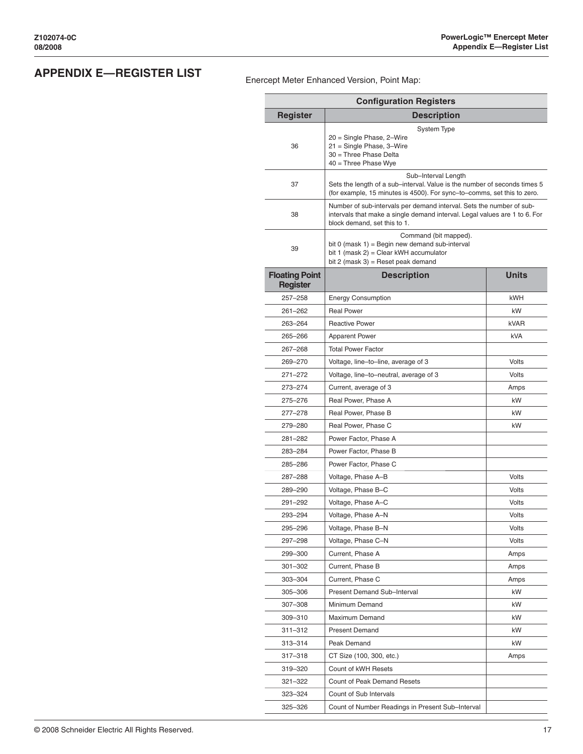## <span id="page-20-0"></span>**APPENDIX E—REGISTER LIST** Enercept Meter Enhanced Version, Point Map:

| <b>Configuration Registers</b>           |                                                                                                                                                                                    |              |  |  |
|------------------------------------------|------------------------------------------------------------------------------------------------------------------------------------------------------------------------------------|--------------|--|--|
| <b>Register</b>                          |                                                                                                                                                                                    |              |  |  |
| 36                                       | System Type<br>20 = Single Phase, 2–Wire<br>21 = Single Phase, 3-Wire<br>30 = Three Phase Delta<br>$40$ = Three Phase Wye                                                          |              |  |  |
| 37                                       | Sub-Interval Length<br>Sets the length of a sub–interval. Value is the number of seconds times 5<br>(for example, 15 minutes is 4500). For sync-to-comms, set this to zero.        |              |  |  |
| 38                                       | Number of sub-intervals per demand interval. Sets the number of sub-<br>intervals that make a single demand interval. Legal values are 1 to 6. For<br>block demand, set this to 1. |              |  |  |
| 39                                       | Command (bit mapped).<br>bit 0 (mask $1$ ) = Begin new demand sub-interval<br>bit 1 (mask 2) = Clear kWH accumulator<br>bit 2 (mask 3) = Reset peak demand                         |              |  |  |
| <b>Floating Point</b><br><b>Register</b> | <b>Description</b>                                                                                                                                                                 | <b>Units</b> |  |  |
| $257 - 258$                              | <b>Energy Consumption</b>                                                                                                                                                          | <b>kWH</b>   |  |  |
| $261 - 262$                              | <b>Real Power</b>                                                                                                                                                                  | kW           |  |  |
| 263-264                                  | <b>Reactive Power</b>                                                                                                                                                              | kVAR         |  |  |
| 265-266                                  | <b>Apparent Power</b>                                                                                                                                                              | <b>kVA</b>   |  |  |
| 267-268                                  | <b>Total Power Factor</b>                                                                                                                                                          |              |  |  |
| 269-270                                  | Voltage, line-to-line, average of 3                                                                                                                                                | Volts        |  |  |
| 271-272                                  | Voltage, line-to-neutral, average of 3                                                                                                                                             | Volts        |  |  |
| 273-274                                  | Current, average of 3                                                                                                                                                              | Amps         |  |  |
| 275-276                                  | Real Power, Phase A                                                                                                                                                                | kW           |  |  |
| 277-278                                  | Real Power, Phase B                                                                                                                                                                | kW           |  |  |
| 279-280                                  | Real Power, Phase C                                                                                                                                                                | kW           |  |  |
| 281-282                                  | Power Factor, Phase A                                                                                                                                                              |              |  |  |
| 283-284                                  | Power Factor, Phase B                                                                                                                                                              |              |  |  |
| 285-286                                  | Power Factor, Phase C                                                                                                                                                              |              |  |  |
| 287-288                                  | Voltage, Phase A-B                                                                                                                                                                 | Volts        |  |  |
| 289-290                                  | Voltage, Phase B-C                                                                                                                                                                 | Volts        |  |  |
| 291-292                                  | Voltage, Phase A-C                                                                                                                                                                 | Volts        |  |  |
| 293-294                                  | Voltage, Phase A-N                                                                                                                                                                 | Volts        |  |  |
| 295-296                                  | Voltage, Phase B-N                                                                                                                                                                 | Volts        |  |  |
| 297-298                                  | Voltage, Phase C-N                                                                                                                                                                 | Volts        |  |  |
| 299-300                                  | Current, Phase A                                                                                                                                                                   | Amps         |  |  |
| 301-302                                  | Current, Phase B                                                                                                                                                                   | Amps         |  |  |
| 303-304                                  | Current, Phase C                                                                                                                                                                   | Amps         |  |  |
| 305-306                                  | Present Demand Sub-Interval                                                                                                                                                        | kW           |  |  |
| 307-308                                  | Minimum Demand                                                                                                                                                                     | kW           |  |  |
| 309-310                                  | Maximum Demand                                                                                                                                                                     | kW           |  |  |
| 311–312                                  | <b>Present Demand</b>                                                                                                                                                              | kW           |  |  |
| 313-314                                  | Peak Demand                                                                                                                                                                        | kW           |  |  |
| 317–318                                  | CT Size (100, 300, etc.)                                                                                                                                                           | Amps         |  |  |
| 319 - 320                                | Count of kWH Resets                                                                                                                                                                |              |  |  |
| 321-322                                  | <b>Count of Peak Demand Resets</b>                                                                                                                                                 |              |  |  |
| 323-324                                  | Count of Sub Intervals                                                                                                                                                             |              |  |  |
| 325-326                                  | Count of Number Readings in Present Sub-Interval                                                                                                                                   |              |  |  |